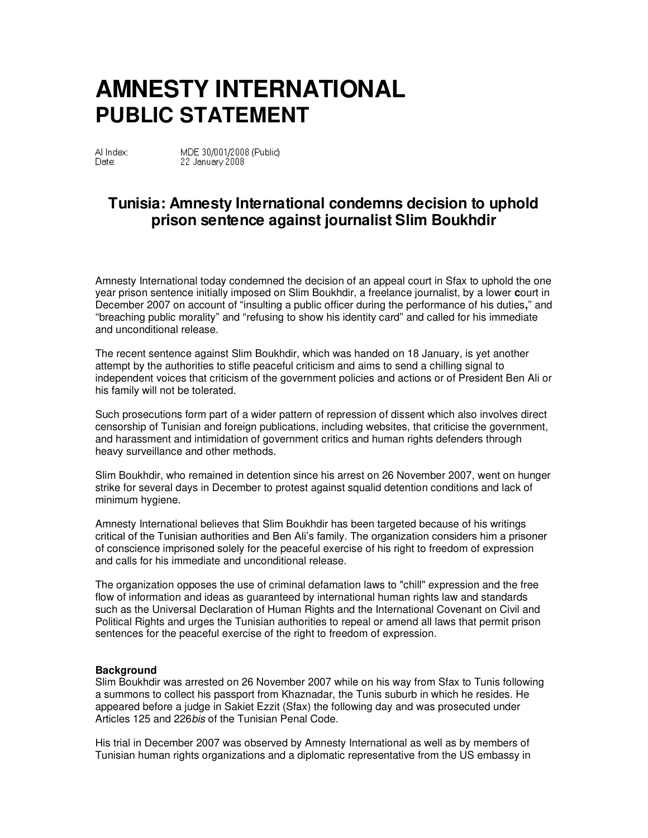## **AMNESTY INTERNATIONAL PUBLIC STATEMENT**

Al Index: Date:

MDE 30/001/2008 (Public) 22 January 2008

## **Tunisia: Amnesty International condemns decision to uphold prison sentence against journalist Slim Boukhdir**

Amnesty International today condemned the decision of an appeal court in Sfax to uphold the one year prison sentence initially imposed on Slim Boukhdir, a freelance journalist, by a lower **c**ourt in December 2007 on account of ''insulting a public officer during the performance of his duties**,**'' and ''breaching public morality'' and ''refusing to show his identity card'' and called for his immediate and unconditional release.

The recent sentence against Slim Boukhdir, which was handed on 18 January, is yet another attempt by the authorities to stifle peaceful criticism and aims to send a chilling signal to independent voices that criticism of the government policies and actions or of President Ben Ali or his family will not be tolerated.

Such prosecutions form part of a wider pattern of repression of dissent which also involves direct censorship of Tunisian and foreign publications, including websites, that criticise the government, and harassment and intimidation of government critics and human rights defenders through heavy surveillance and other methods.

Slim Boukhdir, who remained in detention since his arrest on 26 November 2007, went on hunger strike for several days in December to protest against squalid detention conditions and lack of minimum hygiene.

Amnesty International believes that Slim Boukhdir has been targeted because of his writings critical of the Tunisian authorities and Ben Ali's family. The organization considers him a prisoner of conscience imprisoned solely for the peaceful exercise of his right to freedom of expression and calls for his immediate and unconditional release.

The organization opposes the use of criminal defamation laws to "chill" expression and the free flow of information and ideas as guaranteed by international human rights law and standards such as the Universal Declaration of Human Rights and the International Covenant on Civil and Political Rights and urges the Tunisian authorities to repeal or amend all laws that permit prison sentences for the peaceful exercise of the right to freedom of expression.

## **Background**

Slim Boukhdir was arrested on 26 November 2007 while on his way from Sfax to Tunis following a summons to collect his passport from Khaznadar, the Tunis suburb in which he resides. He appeared before a judge in Sakiet Ezzit (Sfax) the following day and was prosecuted under Articles 125 and 226*bis* of the Tunisian Penal Code.

His trial in December 2007 was observed by Amnesty International as well as by members of Tunisian human rights organizations and a diplomatic representative from the US embassy in